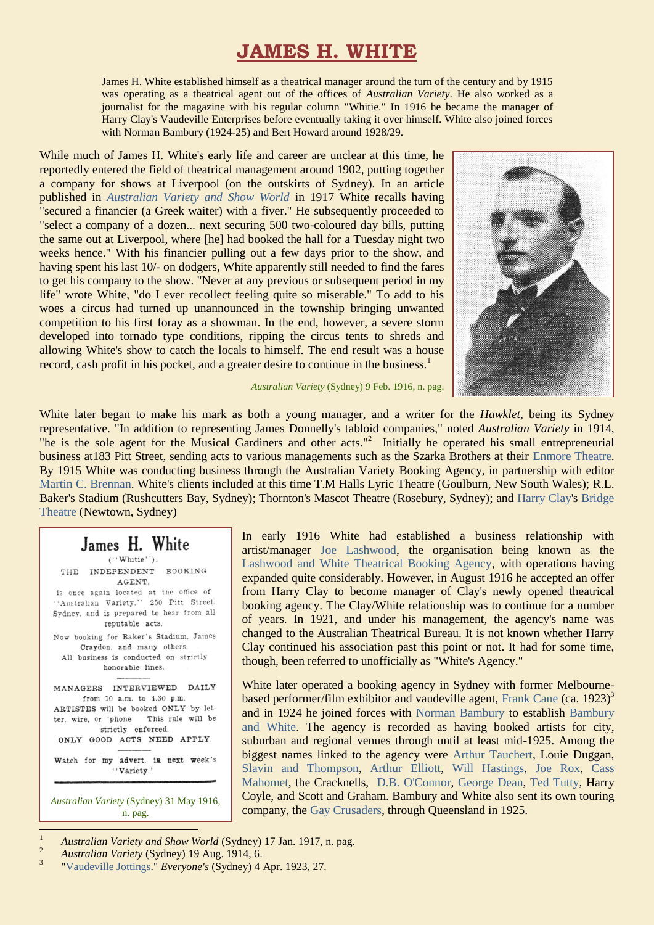# **JAMES H. WHITE**

James H. White established himself as a theatrical manager around the turn of the century and by 1915 was operating as a theatrical agent out of the offices of *Australian Variety*. He also worked as a journalist for the magazine with his regular column "Whitie." In 1916 he became the manager of Harry Clay's Vaudeville Enterprises before eventually taking it over himself. White also joined forces with Norman Bambury (1924-25) and Bert Howard around 1928/29.

While much of James H. White's early life and career are unclear at this time, he reportedly entered the field of theatrical management around 1902, putting together a company for shows at Liverpool (on the outskirts of Sydney). In an article published in *[Australian Variety and Show World](https://ozvta.com/industry-misc-2/2/)* in 1917 White recalls having "secured a financier (a Greek waiter) with a fiver." He subsequently proceeded to "select a company of a dozen... next securing 500 two-coloured day bills, putting the same out at Liverpool, where [he] had booked the hall for a Tuesday night two weeks hence." With his financier pulling out a few days prior to the show, and having spent his last 10/- on dodgers, White apparently still needed to find the fares to get his company to the show. "Never at any previous or subsequent period in my life" wrote White, "do I ever recollect feeling quite so miserable." To add to his woes a circus had turned up unannounced in the township bringing unwanted competition to his first foray as a showman. In the end, however, a severe storm developed into tornado type conditions, ripping the circus tents to shreds and allowing White's show to catch the locals to himself. The end result was a house record, cash profit in his pocket, and a greater desire to continue in the business.<sup>1</sup>



*Australian Variety* (Sydney) 9 Feb. 1916, n. pag.

White later began to make his mark as both a young manager, and a writer for the *Hawklet*, being its Sydney representative. "In addition to representing James Donnelly's tabloid companies," noted *Australian Variety* in 1914, "he is the sole agent for the Musical Gardiners and other acts."<sup>2</sup> Initially he operated his small entrepreneurial business at183 Pitt Street, sending acts to various managements such as the Szarka Brothers at their [Enmore Theatre.](http://ozvta.com/theatres-nsw/2/) By 1915 White was conducting business through the Australian Variety Booking Agency, in partnership with editor [Martin C. Brennan.](http://ozvta.com/industry-people-a-l/) White's clients included at this time T.M Halls Lyric Theatre (Goulburn, New South Wales); R.L. Baker's Stadium (Rushcutters Bay, Sydney); Thornton's Mascot Theatre (Rosebury, Sydney); and [Harry Clay's](https://ozvta.com/entrepreneurs-a-f/) [Bridge](http://ozvta.com/theatres-nsw/2/)  [Theatre](http://ozvta.com/theatres-nsw/2/) (Newtown, Sydney)

## James H. White

 $('Write').$ THE INDEPENDENT BOOKING AGENT. is once again located at the office of "Australian Variety." 250 Pitt Street. Sydney, and is prepared to hear from all reputable acts. Now booking for Baker's Stadium, James Craydon, and many others. All business is conducted on strictly honorable lines. MANAGERS INTERVIEWED DAILY from  $10$  a.m. to  $4.30$  p.m. ARTISTES will be booked ONLY by letter. wire, or 'phone' This rule will be strictly enforced. ONLY GOOD ACTS NEED APPLY. Watch for my advert. in next week's "Variety."

*Australian Variety* (Sydney) 31 May 1916, n. pag.

1

In early 1916 White had established a business relationship with artist/manager [Joe Lashwood,](http://ozvta.com/entrepreneurs-g-l/) the organisation being known as the [Lashwood and White Theatrical Booking Agency,](http://ozvta.com/industry-misc-1/) with operations having expanded quite considerably. However, in August 1916 he accepted an offer from Harry Clay to become manager of Clay's newly opened theatrical booking agency. The Clay/White relationship was to continue for a number of years. In 1921, and under his management, the agency's name was changed to the Australian Theatrical Bureau. It is not known whether Harry Clay continued his association past this point or not. It had for some time, though, been referred to unofficially as "White's Agency."

White later operated a booking agency in Sydney with former Melbourne-based performer/film exhibitor and vaudeville agent, [Frank Cane](http://ozvta.com/practitioners-c/) (ca. 1923)<sup>3</sup> and in 1924 he joined forces with [Norman Bambury](http://ozvta.com/practitioners-b/) to establish [Bambury](http://ozvta.com/industry-misc-1/)  [and White.](http://ozvta.com/industry-misc-1/) The agency is recorded as having booked artists for city, suburban and regional venues through until at least mid-1925. Among the biggest names linked to the agency were [Arthur Tauchert,](https://ozvta.com/practitioners-t/) Louie Duggan, [Slavin and Thompson,](https://ozvta.com/practitioners-s/) [Arthur Elliott,](https://ozvta.com/practitioners-e/) [Will Hastings,](https://ozvta.com/practitioners-h/) [Joe Rox,](https://ozvta.com/practitioners-r/) [Cass](https://ozvta.com/practitioners-m/)  [Mahomet,](https://ozvta.com/practitioners-m/) the Cracknells, [D.B. O'Connor,](http://ozvta.com/practitioners-other-m-z/) [George Dean,](https://ozvta.com/practitioners-d/) [Ted Tutty,](https://ozvta.com/practitioners-t/) Harry Coyle, and Scott and Graham. Bambury and White also sent its own touring company, the [Gay Crusaders,](http://ozvta.com/troupes-g-l/) through Queensland in 1925.

<sup>2</sup> *Australian Variety* (Sydney) 19 Aug. 1914, 6.

<sup>&</sup>lt;sup>1</sup> *Australian Variety and Show World* (Sydney) 17 Jan. 1917, n. pag.

<sup>3</sup> ["Vaudeville Jottings."](https://nla.gov.au/nla.obj-553213560/view?partId=nla.obj-553245001#page/n26/mode/1up) *Everyone's* (Sydney) 4 Apr. 1923, 27.